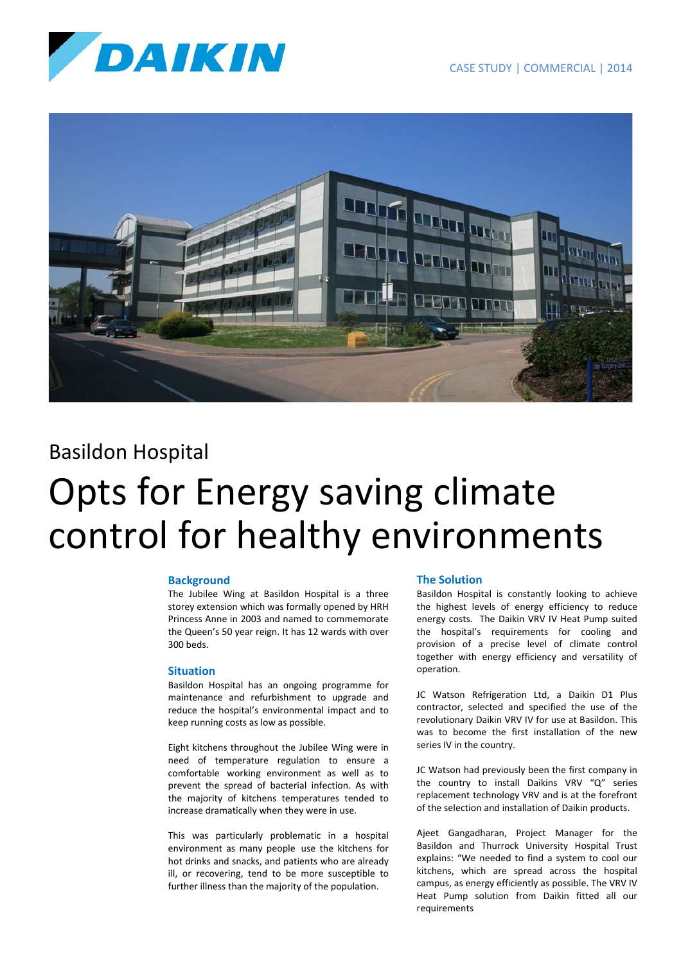



# Basildon Hospital Opts for Energy saving climate control for healthy environments

## **Background**

The Jubilee Wing at Basildon Hospital is a three storey extension which was formally opened by HRH Princess Anne in 2003 and named to commemorate the Queen's 50 year reign. It has 12 wards with over 300 beds.

## **Situation**

Basildon Hospital has an ongoing programme for maintenance and refurbishment to upgrade and reduce the hospital's environmental impact and to keep running costs as low as possible.

Eight kitchens throughout the Jubilee Wing were in need of temperature regulation to ensure a comfortable working environment as well as to prevent the spread of bacterial infection. As with the majority of kitchens temperatures tended to increase dramatically when they were in use.

This was particularly problematic in a hospital environment as many people use the kitchens for hot drinks and snacks, and patients who are already ill, or recovering, tend to be more susceptible to further illness than the majority of the population.

## **The Solution**

Basildon Hospital is constantly looking to achieve the highest levels of energy efficiency to reduce energy costs. The Daikin VRV IV Heat Pump suited the hospital's requirements for cooling and provision of a precise level of climate control together with energy efficiency and versatility of operation.

JC Watson Refrigeration Ltd, a Daikin D1 Plus contractor, selected and specified the use of the revolutionary Daikin VRV IV for use at Basildon. This was to become the first installation of the new series IV in the country.

JC Watson had previously been the first company in the country to install Daikins VRV "Q" series replacement technology VRV and is at the forefront of the selection and installation of Daikin products.

Ajeet Gangadharan, Project Manager for the Basildon and Thurrock University Hospital Trust explains: "We needed to find a system to cool our kitchens, which are spread across the hospital campus, as energy efficiently as possible. The VRV IV Heat Pump solution from Daikin fitted all our requirements